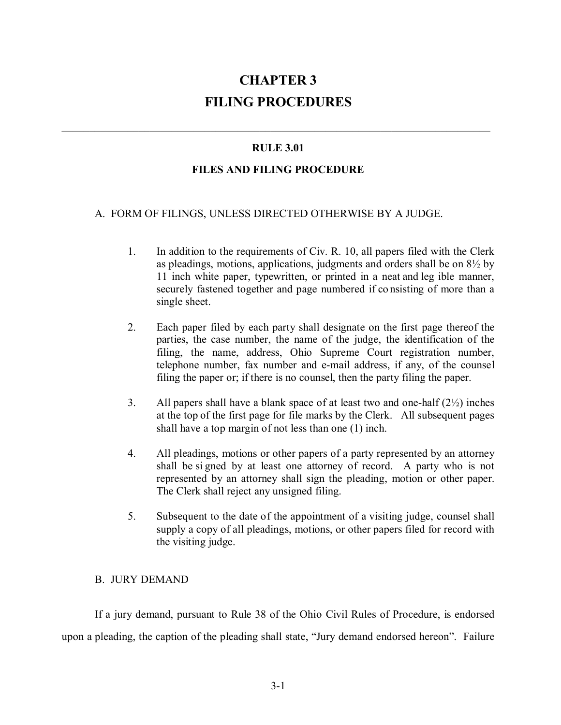# **CHAPTER 3 FILING PROCEDURES**

# **RULE 3.01**

\_\_\_\_\_\_\_\_\_\_\_\_\_\_\_\_\_\_\_\_\_\_\_\_\_\_\_\_\_\_\_\_\_\_\_\_\_\_\_\_\_\_\_\_\_\_\_\_\_\_\_\_\_\_\_\_\_\_\_\_\_\_\_\_\_\_\_\_\_\_\_\_\_\_\_\_\_\_

#### **FILES AND FILING PROCEDURE**

## A. FORM OF FILINGS, UNLESS DIRECTED OTHERWISE BY A JUDGE.

- 1. In addition to the requirements of Civ. R. 10, all papers filed with the Clerk as pleadings, motions, applications, judgments and orders shall be on  $8\frac{1}{2}$  by 11 inch white paper, typewritten, or printed in a neat and leg ible manner, securely fastened together and page numbered if co nsisting of more than a single sheet.
- 2. Each paper filed by each party shall designate on the first page thereof the parties, the case number, the name of the judge, the identification of the filing, the name, address, Ohio Supreme Court registration number, telephone number, fax number and e-mail address, if any, of the counsel filing the paper or; if there is no counsel, then the party filing the paper.
- 3. All papers shall have a blank space of at least two and one-half  $(2\frac{1}{2})$  inches at the top of the first page for file marks by the Clerk. All subsequent pages shall have a top margin of not less than one (1) inch.
- 4. All pleadings, motions or other papers of a party represented by an attorney shall be si gned by at least one attorney of record. A party who is not represented by an attorney shall sign the pleading, motion or other paper. The Clerk shall reject any unsigned filing.
- 5. Subsequent to the date of the appointment of a visiting judge, counsel shall supply a copy of all pleadings, motions, or other papers filed for record with the visiting judge.

# B. JURY DEMAND

 If a jury demand, pursuant to Rule 38 of the Ohio Civil Rules of Procedure, is endorsed upon a pleading, the caption of the pleading shall state, "Jury demand endorsed hereon". Failure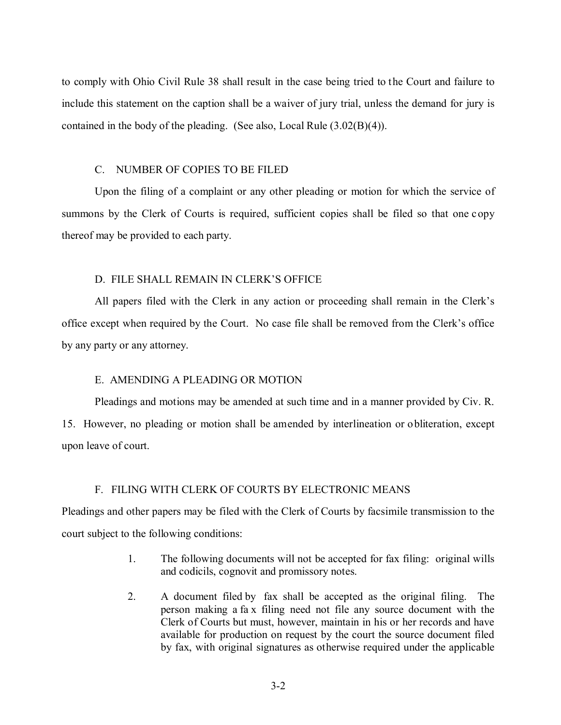to comply with Ohio Civil Rule 38 shall result in the case being tried to the Court and failure to include this statement on the caption shall be a waiver of jury trial, unless the demand for jury is contained in the body of the pleading. (See also, Local Rule (3.02(B)(4)).

#### C. NUMBER OF COPIES TO BE FILED

 Upon the filing of a complaint or any other pleading or motion for which the service of summons by the Clerk of Courts is required, sufficient copies shall be filed so that one copy thereof may be provided to each party.

# D. FILE SHALL REMAIN IN CLERK'S OFFICE

 All papers filed with the Clerk in any action or proceeding shall remain in the Clerk's office except when required by the Court. No case file shall be removed from the Clerk's office by any party or any attorney.

#### E. AMENDING A PLEADING OR MOTION

 Pleadings and motions may be amended at such time and in a manner provided by Civ. R. 15. However, no pleading or motion shall be amended by interlineation or obliteration, except upon leave of court.

# F. FILING WITH CLERK OF COURTS BY ELECTRONIC MEANS

Pleadings and other papers may be filed with the Clerk of Courts by facsimile transmission to the court subject to the following conditions:

- 1. The following documents will not be accepted for fax filing: original wills and codicils, cognovit and promissory notes.
- 2. A document filed by fax shall be accepted as the original filing. The person making a fa x filing need not file any source document with the Clerk of Courts but must, however, maintain in his or her records and have available for production on request by the court the source document filed by fax, with original signatures as otherwise required under the applicable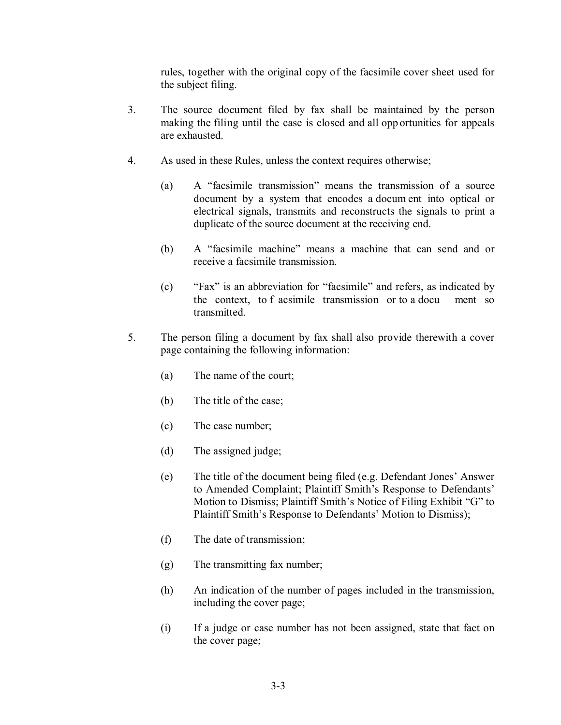rules, together with the original copy of the facsimile cover sheet used for the subject filing.

- 3. The source document filed by fax shall be maintained by the person making the filing until the case is closed and all opp ortunities for appeals are exhausted.
- 4. As used in these Rules, unless the context requires otherwise;
	- (a) A "facsimile transmission" means the transmission of a source document by a system that encodes a docum ent into optical or electrical signals, transmits and reconstructs the signals to print a duplicate of the source document at the receiving end.
	- (b) A "facsimile machine" means a machine that can send and or receive a facsimile transmission.
	- (c) "Fax" is an abbreviation for "facsimile" and refers, as indicated by the context, to f acsimile transmission or to a docu ment so transmitted.
- 5. The person filing a document by fax shall also provide therewith a cover page containing the following information:
	- (a) The name of the court;
	- (b) The title of the case;
	- (c) The case number;
	- (d) The assigned judge;
	- (e) The title of the document being filed (e.g. Defendant Jones' Answer to Amended Complaint; Plaintiff Smith's Response to Defendants' Motion to Dismiss; Plaintiff Smith's Notice of Filing Exhibit "G" to Plaintiff Smith's Response to Defendants' Motion to Dismiss);
	- (f) The date of transmission;
	- (g) The transmitting fax number;
	- (h) An indication of the number of pages included in the transmission, including the cover page;
	- (i) If a judge or case number has not been assigned, state that fact on the cover page;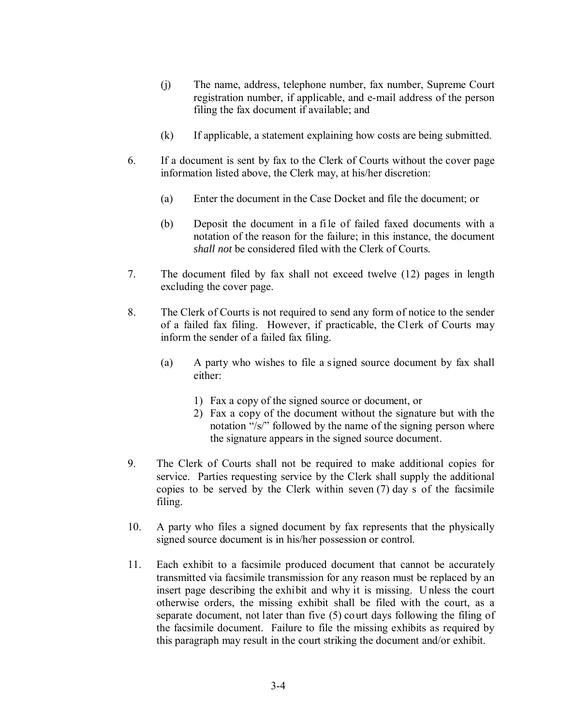- (j) The name, address, telephone number, fax number, Supreme Court registration number, if applicable, and e-mail address of the person filing the fax document if available; and
- (k) If applicable, a statement explaining how costs are being submitted.
- 6. If a document is sent by fax to the Clerk of Courts without the cover page information listed above, the Clerk may, at his/her discretion:
	- (a) Enter the document in the Case Docket and file the document; or
	- (b) Deposit the document in a fi le of failed faxed documents with a notation of the reason for the failure; in this instance, the document *shall not* be considered filed with the Clerk of Courts.
- 7. The document filed by fax shall not exceed twelve (12) pages in length excluding the cover page.
- 8. The Clerk of Courts is not required to send any form of notice to the sender of a failed fax filing. However, if practicable, the Cl erk of Courts may inform the sender of a failed fax filing.
	- (a) A party who wishes to file a signed source document by fax shall either:
		- 1) Fax a copy of the signed source or document, or
		- 2) Fax a copy of the document without the signature but with the notation "/s/" followed by the name of the signing person where the signature appears in the signed source document.
- 9. The Clerk of Courts shall not be required to make additional copies for service. Parties requesting service by the Clerk shall supply the additional copies to be served by the Clerk within seven (7) day s of the facsimile filing.
- 10. A party who files a signed document by fax represents that the physically signed source document is in his/her possession or control.
- 11. Each exhibit to a facsimile produced document that cannot be accurately transmitted via facsimile transmission for any reason must be replaced by an insert page describing the exhibit and why it is missing. U nless the court otherwise orders, the missing exhibit shall be filed with the court, as a separate document, not later than five (5) court days following the filing of the facsimile document. Failure to file the missing exhibits as required by this paragraph may result in the court striking the document and/or exhibit.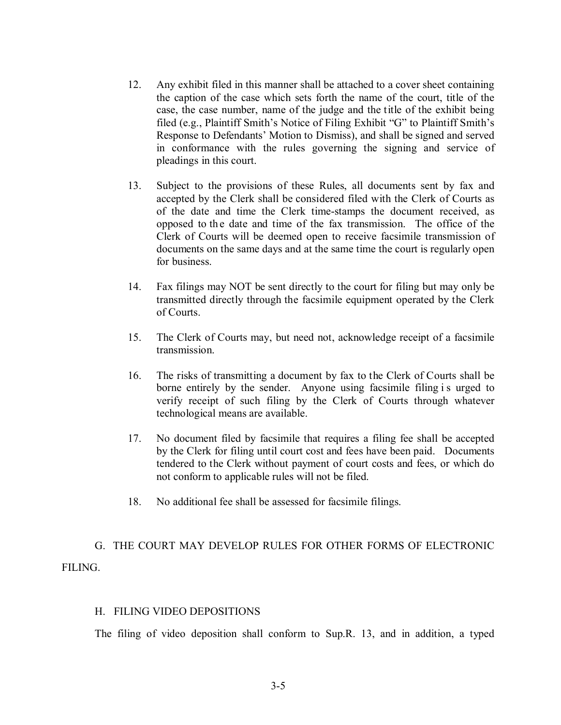- 12. Any exhibit filed in this manner shall be attached to a cover sheet containing the caption of the case which sets forth the name of the court, title of the case, the case number, name of the judge and the title of the exhibit being filed (e.g., Plaintiff Smith's Notice of Filing Exhibit "G" to Plaintiff Smith's Response to Defendants' Motion to Dismiss), and shall be signed and served in conformance with the rules governing the signing and service of pleadings in this court.
- 13. Subject to the provisions of these Rules, all documents sent by fax and accepted by the Clerk shall be considered filed with the Clerk of Courts as of the date and time the Clerk time-stamps the document received, as opposed to th e date and time of the fax transmission. The office of the Clerk of Courts will be deemed open to receive facsimile transmission of documents on the same days and at the same time the court is regularly open for business.
- 14. Fax filings may NOT be sent directly to the court for filing but may only be transmitted directly through the facsimile equipment operated by the Clerk of Courts.
- 15. The Clerk of Courts may, but need not, acknowledge receipt of a facsimile transmission.
- 16. The risks of transmitting a document by fax to the Clerk of Courts shall be borne entirely by the sender. Anyone using facsimile filing is urged to verify receipt of such filing by the Clerk of Courts through whatever technological means are available.
- 17. No document filed by facsimile that requires a filing fee shall be accepted by the Clerk for filing until court cost and fees have been paid. Documents tendered to the Clerk without payment of court costs and fees, or which do not conform to applicable rules will not be filed.
- 18. No additional fee shall be assessed for facsimile filings.

 G. THE COURT MAY DEVELOP RULES FOR OTHER FORMS OF ELECTRONIC FILING.

#### H. FILING VIDEO DEPOSITIONS

The filing of video deposition shall conform to Sup.R. 13, and in addition, a typed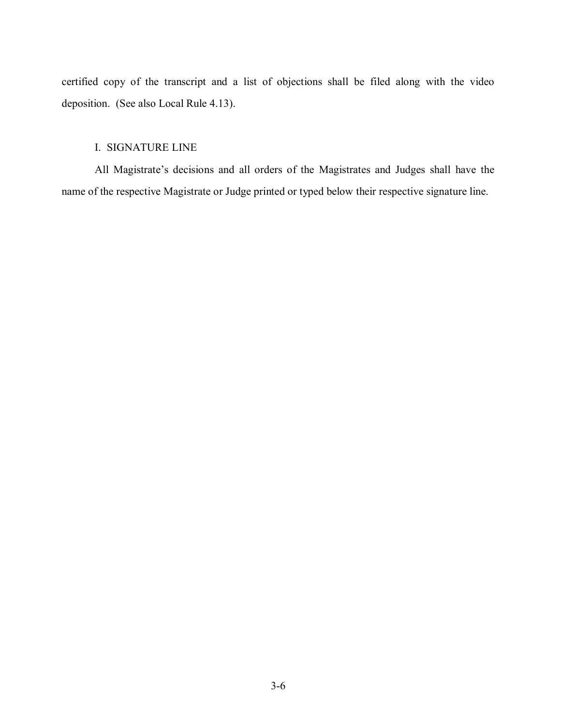certified copy of the transcript and a list of objections shall be filed along with the video deposition. (See also Local Rule 4.13).

# I. SIGNATURE LINE

 All Magistrate's decisions and all orders of the Magistrates and Judges shall have the name of the respective Magistrate or Judge printed or typed below their respective signature line.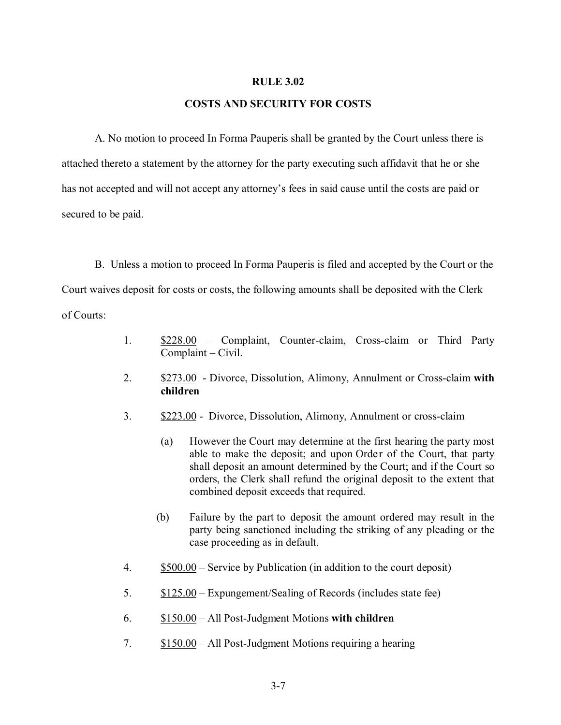#### **RULE 3.02**

# **COSTS AND SECURITY FOR COSTS**

A. No motion to proceed In Forma Pauperis shall be granted by the Court unless there is attached thereto a statement by the attorney for the party executing such affidavit that he or she has not accepted and will not accept any attorney's fees in said cause until the costs are paid or secured to be paid.

 B. Unless a motion to proceed In Forma Pauperis is filed and accepted by the Court or the Court waives deposit for costs or costs, the following amounts shall be deposited with the Clerk of Courts:

- 1. \$228.00 Complaint, Counter-claim, Cross-claim or Third Party Complaint – Civil.
- 2. \$273.00 Divorce, Dissolution, Alimony, Annulment or Cross-claim **with children**
- 3. \$223.00 Divorce, Dissolution, Alimony, Annulment or cross-claim
	- (a) However the Court may determine at the first hearing the party most able to make the deposit; and upon Order of the Court, that party shall deposit an amount determined by the Court; and if the Court so orders, the Clerk shall refund the original deposit to the extent that combined deposit exceeds that required.
	- (b) Failure by the part to deposit the amount ordered may result in the party being sanctioned including the striking of any pleading or the case proceeding as in default.
- 4. \$500.00 Service by Publication (in addition to the court deposit)
- 5. \$125.00 Expungement/Sealing of Records (includes state fee)
- 6. \$150.00 All Post-Judgment Motions **with children**
- 7. \$150.00 All Post-Judgment Motions requiring a hearing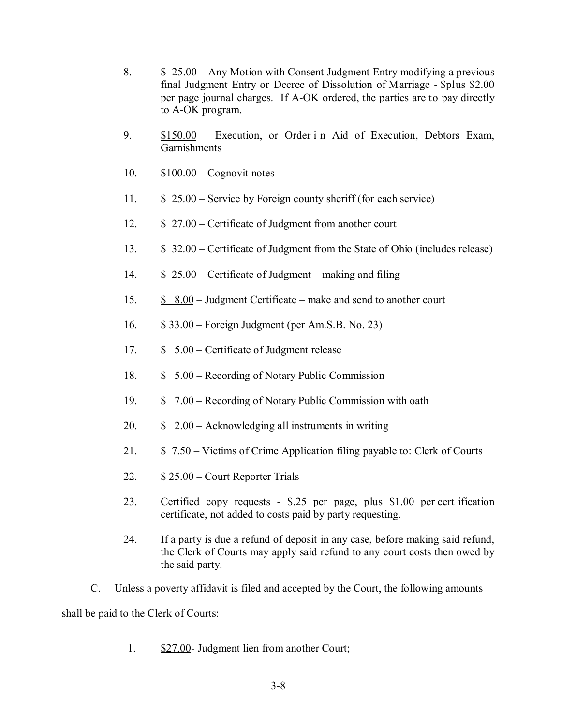- 8. \$ 25.00 Any Motion with Consent Judgment Entry modifying a previous final Judgment Entry or Decree of Dissolution of Marriage - \$plus \$2.00 per page journal charges. If A-OK ordered, the parties are to pay directly to A-OK program.
- 9. \$150.00 Execution, or Order in Aid of Execution, Debtors Exam, Garnishments
- 10.  $$100.00$  Cognovit notes
- 11. \$ 25.00 Service by Foreign county sheriff (for each service)
- 12. \$ 27.00 Certificate of Judgment from another court
- 13. \$ 32.00 Certificate of Judgment from the State of Ohio (includes release)
- 14. \$ 25.00 Certificate of Judgment making and filing
- 15. \$ 8.00 Judgment Certificate make and send to another court
- 16. \$ 33.00 Foreign Judgment (per Am.S.B. No. 23)
- 17. \$ 5.00 Certificate of Judgment release
- 18. \$ 5.00 Recording of Notary Public Commission
- 19. \$ 7.00 Recording of Notary Public Commission with oath
- 20.  $\frac{\$ \, 2.00 \text{Acknowledging all instruments in writing}}{}$
- 21. \$ 7.50 Victims of Crime Application filing payable to: Clerk of Courts
- 22.  $$ 25.00$  Court Reporter Trials
- 23. Certified copy requests \$.25 per page, plus \$1.00 per cert ification certificate, not added to costs paid by party requesting.
- 24. If a party is due a refund of deposit in any case, before making said refund, the Clerk of Courts may apply said refund to any court costs then owed by the said party.
- C. Unless a poverty affidavit is filed and accepted by the Court, the following amounts shall be paid to the Clerk of Courts:
	- 1. \$27.00- Judgment lien from another Court;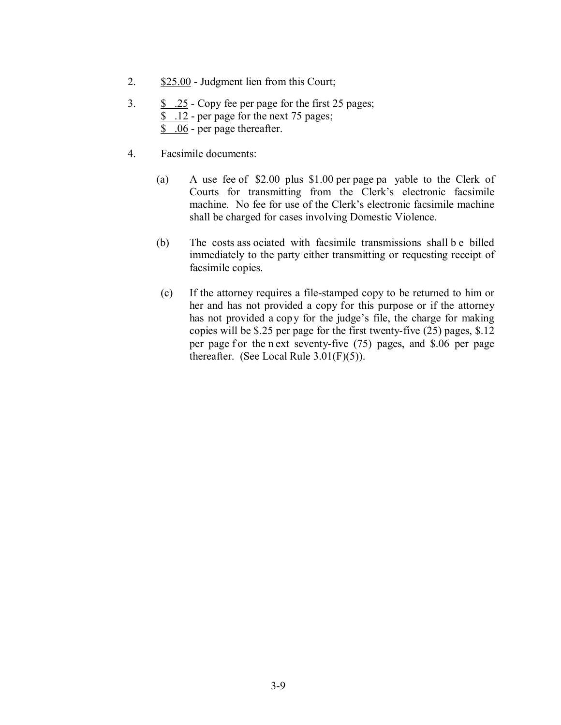- 2. \$25.00 Judgment lien from this Court;
- 3.  $\frac{\$}{\$}$  .25 Copy fee per page for the first 25 pages; \$ .12 - per page for the next 75 pages; \$ .06 - per page thereafter.
- 4. Facsimile documents:
	- (a) A use fee of \$2.00 plus \$1.00 per page pa yable to the Clerk of Courts for transmitting from the Clerk's electronic facsimile machine. No fee for use of the Clerk's electronic facsimile machine shall be charged for cases involving Domestic Violence.
	- (b) The costs ass ociated with facsimile transmissions shall b e billed immediately to the party either transmitting or requesting receipt of facsimile copies.
	- (c) If the attorney requires a file-stamped copy to be returned to him or her and has not provided a copy for this purpose or if the attorney has not provided a copy for the judge's file, the charge for making copies will be \$.25 per page for the first twenty-five (25) pages, \$.12 per page f or the n ext seventy-five  $(75)$  pages, and \$.06 per page thereafter. (See Local Rule  $3.01(F)(5)$ ).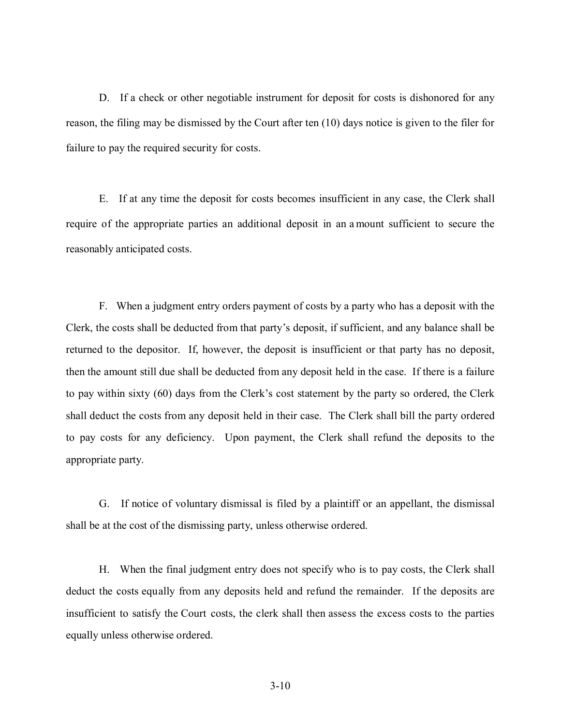D. If a check or other negotiable instrument for deposit for costs is dishonored for any reason, the filing may be dismissed by the Court after ten (10) days notice is given to the filer for failure to pay the required security for costs.

 E. If at any time the deposit for costs becomes insufficient in any case, the Clerk shall require of the appropriate parties an additional deposit in an a mount sufficient to secure the reasonably anticipated costs.

 F. When a judgment entry orders payment of costs by a party who has a deposit with the Clerk, the costs shall be deducted from that party's deposit, if sufficient, and any balance shall be returned to the depositor. If, however, the deposit is insufficient or that party has no deposit, then the amount still due shall be deducted from any deposit held in the case. If there is a failure to pay within sixty (60) days from the Clerk's cost statement by the party so ordered, the Clerk shall deduct the costs from any deposit held in their case. The Clerk shall bill the party ordered to pay costs for any deficiency. Upon payment, the Clerk shall refund the deposits to the appropriate party.

 G. If notice of voluntary dismissal is filed by a plaintiff or an appellant, the dismissal shall be at the cost of the dismissing party, unless otherwise ordered.

 H. When the final judgment entry does not specify who is to pay costs, the Clerk shall deduct the costs equally from any deposits held and refund the remainder. If the deposits are insufficient to satisfy the Court costs, the clerk shall then assess the excess costs to the parties equally unless otherwise ordered.

3-10